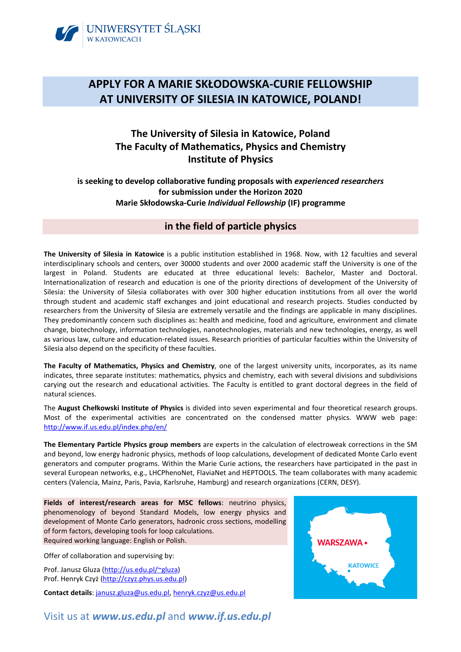

# **APPLY FOR A MARIE SKŁODOWSKA-CURIE FELLOWSHIP AT UNIVERSITY OF SILESIA IN KATOWICE, POLAND!**

# **The University of Silesia in Katowice, Poland The Faculty of Mathematics, Physics and Chemistry Institute of Physics**

**is seeking to develop collaborative funding proposals with** *experienced researchers* **for submission under the Horizon 2020 Marie Skłodowska-Curie** *Individual Fellowship* **(IF) programme** 

## **in the field of particle physics**

**The University of Silesia in Katowice** is a public institution established in 1968. Now, with 12 faculties and several interdisciplinary schools and centers, over 30000 students and over 2000 academic staff the University is one of the largest in Poland. Students are educated at three educational levels: Bachelor, Master and Doctoral. Internationalization of research and education is one of the priority directions of development of the University of Silesia: the University of Silesia collaborates with over 300 higher education institutions from all over the world through student and academic staff exchanges and joint educational and research projects. Studies conducted by researchers from the University of Silesia are extremely versatile and the findings are applicable in many disciplines. They predominantly concern such disciplines as: health and medicine, food and agriculture, environment and climate change, biotechnology, information technologies, nanotechnologies, materials and new technologies, energy, as well as various law, culture and education-related issues. Research priorities of particular faculties within the University of Silesia also depend on the specificity of these faculties.

**The Faculty of Mathematics, Physics and Chemistry**, one of the largest university units, incorporates, as its name indicates, three separate institutes: mathematics, physics and chemistry, each with several divisions and subdivisions carying out the research and educational activities. The Faculty is entitled to grant doctoral degrees in the field of natural sciences.

The **August Chełkowski Institute of Physics** is divided into seven experimental and four theoretical research groups. Most of the experimental activities are concentrated on the condensed matter physics. WWW web page: http://www.if.us.edu.pl/index.php/en/

**The Elementary Particle Physics group members** are experts in the calculation of electroweak corrections in the SM and beyond, low energy hadronic physics, methods of loop calculations, development of dedicated Monte Carlo event generators and computer programs. Within the Marie Curie actions, the researchers have participated in the past in several European networks, e.g., LHCPhenoNet, FlaviaNet and HEPTOOLS. The team collaborates with many academic centers (Valencia, Mainz, Paris, Pavia, Karlsruhe, Hamburg) and research organizations (CERN, DESY).

**Fields of interest/research areas for MSC fellows**: neutrino physics, phenomenology of beyond Standard Models, low energy physics and development of Monte Carlo generators, hadronic cross sections, modelling of form factors, developing tools for loop calculations. Required working language: English or Polish.

Offer of collaboration and supervising by:

Prof. Janusz Gluza (http://us.edu.pl/~gluza) Prof. Henryk Czyż (http://czyz.phys.us.edu.pl)

**Contact details**: janusz.gluza@us.edu.pl, henryk.czyz@us.edu.pl



## Visit us at *www.us.edu.pl* and *www.if.us.edu.pl*